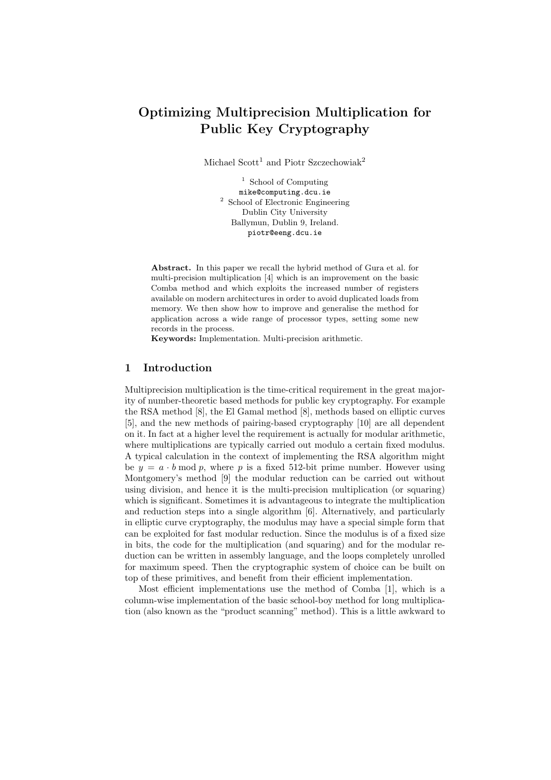# Optimizing Multiprecision Multiplication for Public Key Cryptography

Michael Scott<sup>1</sup> and Piotr Szczechowiak<sup>2</sup>

<sup>1</sup> School of Computing mike@computing.dcu.ie <sup>2</sup> School of Electronic Engineering Dublin City University Ballymun, Dublin 9, Ireland. piotr@eeng.dcu.ie

Abstract. In this paper we recall the hybrid method of Gura et al. for multi-precision multiplication [4] which is an improvement on the basic Comba method and which exploits the increased number of registers available on modern architectures in order to avoid duplicated loads from memory. We then show how to improve and generalise the method for application across a wide range of processor types, setting some new records in the process.

Keywords: Implementation. Multi-precision arithmetic.

### 1 Introduction

Multiprecision multiplication is the time-critical requirement in the great majority of number-theoretic based methods for public key cryptography. For example the RSA method [8], the El Gamal method [8], methods based on elliptic curves [5], and the new methods of pairing-based cryptography [10] are all dependent on it. In fact at a higher level the requirement is actually for modular arithmetic, where multiplications are typically carried out modulo a certain fixed modulus. A typical calculation in the context of implementing the RSA algorithm might be  $y = a \cdot b \mod p$ , where p is a fixed 512-bit prime number. However using Montgomery's method [9] the modular reduction can be carried out without using division, and hence it is the multi-precision multiplication (or squaring) which is significant. Sometimes it is advantageous to integrate the multiplication and reduction steps into a single algorithm [6]. Alternatively, and particularly in elliptic curve cryptography, the modulus may have a special simple form that can be exploited for fast modular reduction. Since the modulus is of a fixed size in bits, the code for the multiplication (and squaring) and for the modular reduction can be written in assembly language, and the loops completely unrolled for maximum speed. Then the cryptographic system of choice can be built on top of these primitives, and benefit from their efficient implementation.

Most efficient implementations use the method of Comba [1], which is a column-wise implementation of the basic school-boy method for long multiplication (also known as the "product scanning" method). This is a little awkward to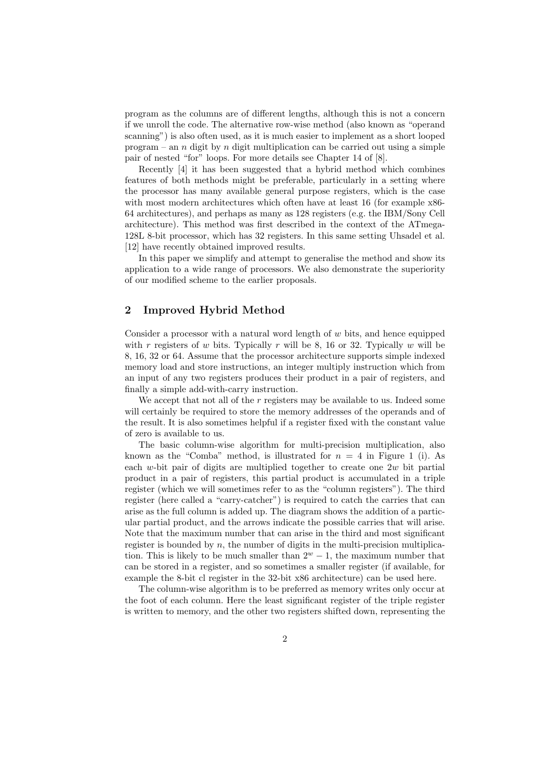program as the columns are of different lengths, although this is not a concern if we unroll the code. The alternative row-wise method (also known as "operand scanning") is also often used, as it is much easier to implement as a short looped program – an n digit by n digit multiplication can be carried out using a simple pair of nested "for" loops. For more details see Chapter 14 of [8].

Recently [4] it has been suggested that a hybrid method which combines features of both methods might be preferable, particularly in a setting where the processor has many available general purpose registers, which is the case with most modern architectures which often have at least 16 (for example  $x86$ -64 architectures), and perhaps as many as 128 registers (e.g. the IBM/Sony Cell architecture). This method was first described in the context of the ATmega-128L 8-bit processor, which has 32 registers. In this same setting Uhsadel et al. [12] have recently obtained improved results.

In this paper we simplify and attempt to generalise the method and show its application to a wide range of processors. We also demonstrate the superiority of our modified scheme to the earlier proposals.

# 2 Improved Hybrid Method

Consider a processor with a natural word length of  $w$  bits, and hence equipped with r registers of w bits. Typically r will be 8, 16 or 32. Typically w will be 8, 16, 32 or 64. Assume that the processor architecture supports simple indexed memory load and store instructions, an integer multiply instruction which from an input of any two registers produces their product in a pair of registers, and finally a simple add-with-carry instruction.

We accept that not all of the  $r$  registers may be available to us. Indeed some will certainly be required to store the memory addresses of the operands and of the result. It is also sometimes helpful if a register fixed with the constant value of zero is available to us.

The basic column-wise algorithm for multi-precision multiplication, also known as the "Comba" method, is illustrated for  $n = 4$  in Figure 1 (i). As each w-bit pair of digits are multiplied together to create one  $2w$  bit partial product in a pair of registers, this partial product is accumulated in a triple register (which we will sometimes refer to as the "column registers"). The third register (here called a "carry-catcher") is required to catch the carries that can arise as the full column is added up. The diagram shows the addition of a particular partial product, and the arrows indicate the possible carries that will arise. Note that the maximum number that can arise in the third and most significant register is bounded by  $n$ , the number of digits in the multi-precision multiplication. This is likely to be much smaller than  $2^w - 1$ , the maximum number that can be stored in a register, and so sometimes a smaller register (if available, for example the 8-bit cl register in the 32-bit x86 architecture) can be used here.

The column-wise algorithm is to be preferred as memory writes only occur at the foot of each column. Here the least significant register of the triple register is written to memory, and the other two registers shifted down, representing the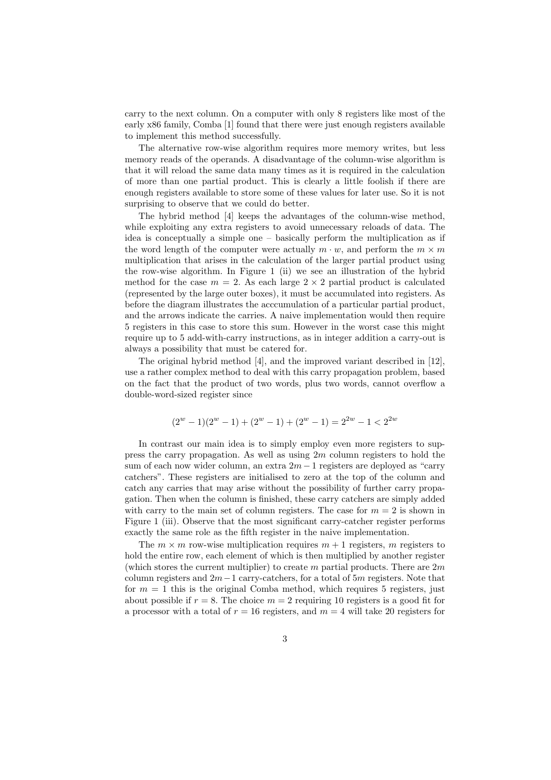carry to the next column. On a computer with only 8 registers like most of the early x86 family, Comba [1] found that there were just enough registers available to implement this method successfully.

The alternative row-wise algorithm requires more memory writes, but less memory reads of the operands. A disadvantage of the column-wise algorithm is that it will reload the same data many times as it is required in the calculation of more than one partial product. This is clearly a little foolish if there are enough registers available to store some of these values for later use. So it is not surprising to observe that we could do better.

The hybrid method [4] keeps the advantages of the column-wise method, while exploiting any extra registers to avoid unnecessary reloads of data. The idea is conceptually a simple one – basically perform the multiplication as if the word length of the computer were actually  $m \cdot w$ , and perform the  $m \times m$ multiplication that arises in the calculation of the larger partial product using the row-wise algorithm. In Figure 1 (ii) we see an illustration of the hybrid method for the case  $m = 2$ . As each large  $2 \times 2$  partial product is calculated (represented by the large outer boxes), it must be accumulated into registers. As before the diagram illustrates the acccumulation of a particular partial product, and the arrows indicate the carries. A naive implementation would then require 5 registers in this case to store this sum. However in the worst case this might require up to 5 add-with-carry instructions, as in integer addition a carry-out is always a possibility that must be catered for.

The original hybrid method [4], and the improved variant described in [12], use a rather complex method to deal with this carry propagation problem, based on the fact that the product of two words, plus two words, cannot overflow a double-word-sized register since

$$
(2w - 1)(2w - 1) + (2w - 1) + (2w - 1) = 22w - 1 < 22w
$$

In contrast our main idea is to simply employ even more registers to suppress the carry propagation. As well as using  $2m$  column registers to hold the sum of each now wider column, an extra  $2m - 1$  registers are deployed as "carry" catchers". These registers are initialised to zero at the top of the column and catch any carries that may arise without the possibility of further carry propagation. Then when the column is finished, these carry catchers are simply added with carry to the main set of column registers. The case for  $m = 2$  is shown in Figure 1 (iii). Observe that the most significant carry-catcher register performs exactly the same role as the fifth register in the naive implementation.

The  $m \times m$  row-wise multiplication requires  $m + 1$  registers, m registers to hold the entire row, each element of which is then multiplied by another register (which stores the current multiplier) to create  $m$  partial products. There are  $2m$ column registers and  $2m-1$  carry-catchers, for a total of 5m registers. Note that for  $m = 1$  this is the original Comba method, which requires 5 registers, just about possible if  $r = 8$ . The choice  $m = 2$  requiring 10 registers is a good fit for a processor with a total of  $r = 16$  registers, and  $m = 4$  will take 20 registers for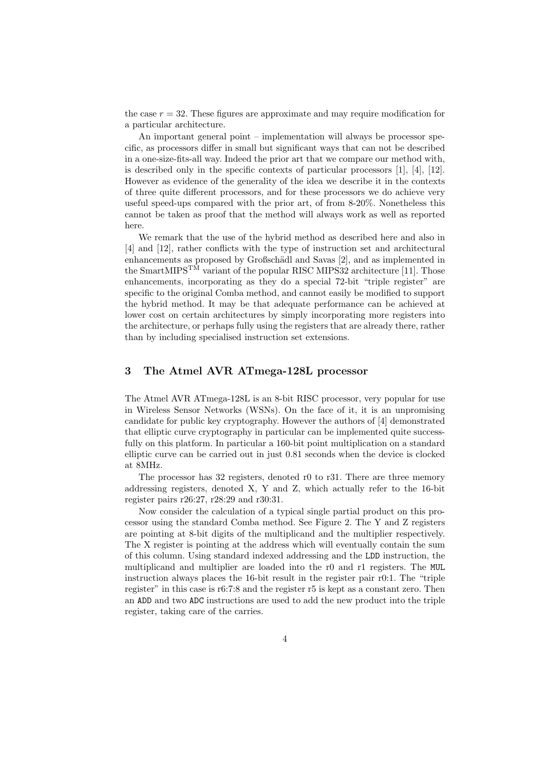the case  $r = 32$ . These figures are approximate and may require modification for a particular architecture.

An important general point – implementation will always be processor specific, as processors differ in small but significant ways that can not be described in a one-size-fits-all way. Indeed the prior art that we compare our method with, is described only in the specific contexts of particular processors [1], [4], [12]. However as evidence of the generality of the idea we describe it in the contexts of three quite different processors, and for these processors we do achieve very useful speed-ups compared with the prior art, of from 8-20%. Nonetheless this cannot be taken as proof that the method will always work as well as reported here.

We remark that the use of the hybrid method as described here and also in [4] and [12], rather conflicts with the type of instruction set and architectural enhancements as proposed by Großschädl and Savas [2], and as implemented in the SmartMIPS<sup>TM</sup> variant of the popular RISC MIPS32 architecture [11]. Those enhancements, incorporating as they do a special 72-bit "triple register" are specific to the original Comba method, and cannot easily be modified to support the hybrid method. It may be that adequate performance can be achieved at lower cost on certain architectures by simply incorporating more registers into the architecture, or perhaps fully using the registers that are already there, rather than by including specialised instruction set extensions.

# 3 The Atmel AVR ATmega-128L processor

The Atmel AVR ATmega-128L is an 8-bit RISC processor, very popular for use in Wireless Sensor Networks (WSNs). On the face of it, it is an unpromising candidate for public key cryptography. However the authors of [4] demonstrated that elliptic curve cryptography in particular can be implemented quite successfully on this platform. In particular a 160-bit point multiplication on a standard elliptic curve can be carried out in just 0.81 seconds when the device is clocked at 8MHz.

The processor has 32 registers, denoted r0 to r31. There are three memory addressing registers, denoted X, Y and Z, which actually refer to the 16-bit register pairs r26:27, r28:29 and r30:31.

Now consider the calculation of a typical single partial product on this processor using the standard Comba method. See Figure 2. The Y and Z registers are pointing at 8-bit digits of the multiplicand and the multiplier respectively. The X register is pointing at the address which will eventually contain the sum of this column. Using standard indexed addressing and the LDD instruction, the multiplicand and multiplier are loaded into the r0 and r1 registers. The MUL instruction always places the 16-bit result in the register pair r0:1. The "triple register" in this case is r6:7:8 and the register r5 is kept as a constant zero. Then an ADD and two ADC instructions are used to add the new product into the triple register, taking care of the carries.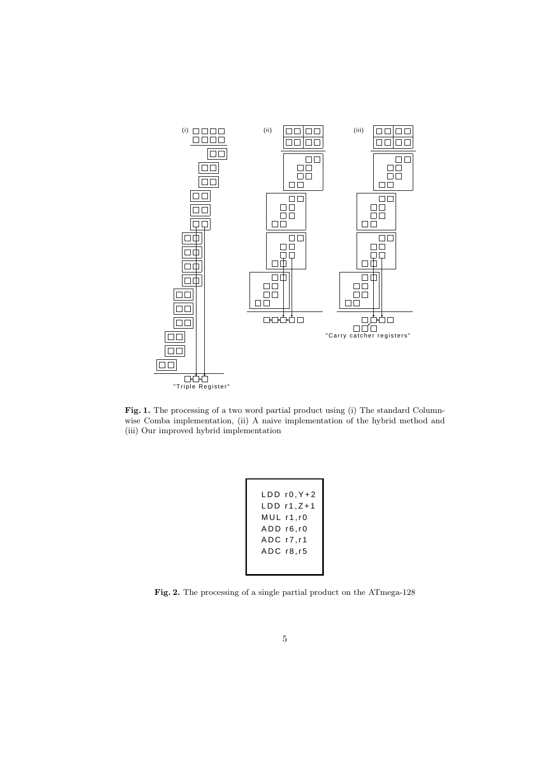

Fig. 1. The processing of a two word partial product using (i) The standard Columnwise Comba implementation, (ii) A naive implementation of the hybrid method and (iii) Our improved hybrid implementation

| LDD r0.Y+2<br>LDD r1.Z+1 |
|--------------------------|
| MUL r1.r0                |
| ADD r6,r0                |
| $ADC$ $r7, r1$           |
| ADC r8, r5               |
|                          |
|                          |

Fig. 2. The processing of a single partial product on the ATmega-128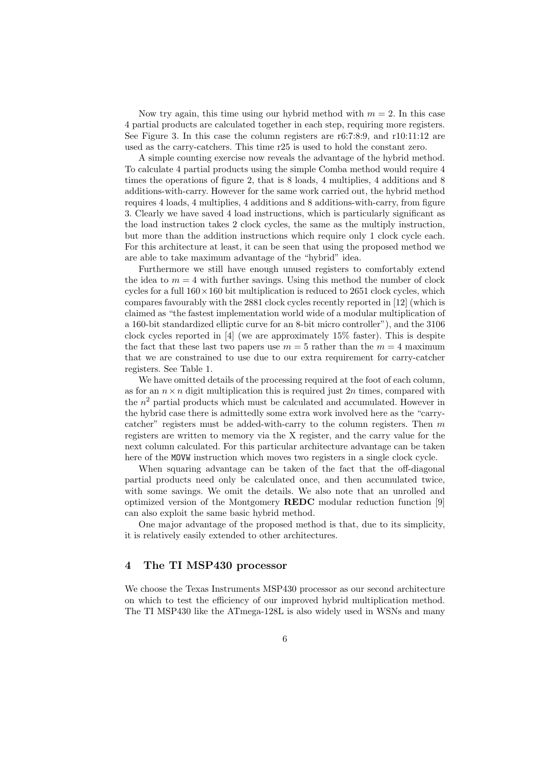Now try again, this time using our hybrid method with  $m = 2$ . In this case 4 partial products are calculated together in each step, requiring more registers. See Figure 3. In this case the column registers are r6:7:8:9, and r10:11:12 are used as the carry-catchers. This time r25 is used to hold the constant zero.

A simple counting exercise now reveals the advantage of the hybrid method. To calculate 4 partial products using the simple Comba method would require 4 times the operations of figure 2, that is 8 loads, 4 multiplies, 4 additions and 8 additions-with-carry. However for the same work carried out, the hybrid method requires 4 loads, 4 multiplies, 4 additions and 8 additions-with-carry, from figure 3. Clearly we have saved 4 load instructions, which is particularly significant as the load instruction takes 2 clock cycles, the same as the multiply instruction, but more than the addition instructions which require only 1 clock cycle each. For this architecture at least, it can be seen that using the proposed method we are able to take maximum advantage of the "hybrid" idea.

Furthermore we still have enough unused registers to comfortably extend the idea to  $m = 4$  with further savings. Using this method the number of clock cycles for a full  $160 \times 160$  bit multiplication is reduced to 2651 clock cycles, which compares favourably with the 2881 clock cycles recently reported in [12] (which is claimed as "the fastest implementation world wide of a modular multiplication of a 160-bit standardized elliptic curve for an 8-bit micro controller"), and the 3106 clock cycles reported in [4] (we are approximately 15% faster). This is despite the fact that these last two papers use  $m = 5$  rather than the  $m = 4$  maximum that we are constrained to use due to our extra requirement for carry-catcher registers. See Table 1.

We have omitted details of the processing required at the foot of each column, as for an  $n \times n$  digit multiplication this is required just 2n times, compared with the  $n^2$  partial products which must be calculated and accumulated. However in the hybrid case there is admittedly some extra work involved here as the "carrycatcher" registers must be added-with-carry to the column registers. Then  $m$ registers are written to memory via the X register, and the carry value for the next column calculated. For this particular architecture advantage can be taken here of the MOVW instruction which moves two registers in a single clock cycle.

When squaring advantage can be taken of the fact that the off-diagonal partial products need only be calculated once, and then accumulated twice, with some savings. We omit the details. We also note that an unrolled and optimized version of the Montgomery REDC modular reduction function [9] can also exploit the same basic hybrid method.

One major advantage of the proposed method is that, due to its simplicity, it is relatively easily extended to other architectures.

# 4 The TI MSP430 processor

We choose the Texas Instruments MSP430 processor as our second architecture on which to test the efficiency of our improved hybrid multiplication method. The TI MSP430 like the ATmega-128L is also widely used in WSNs and many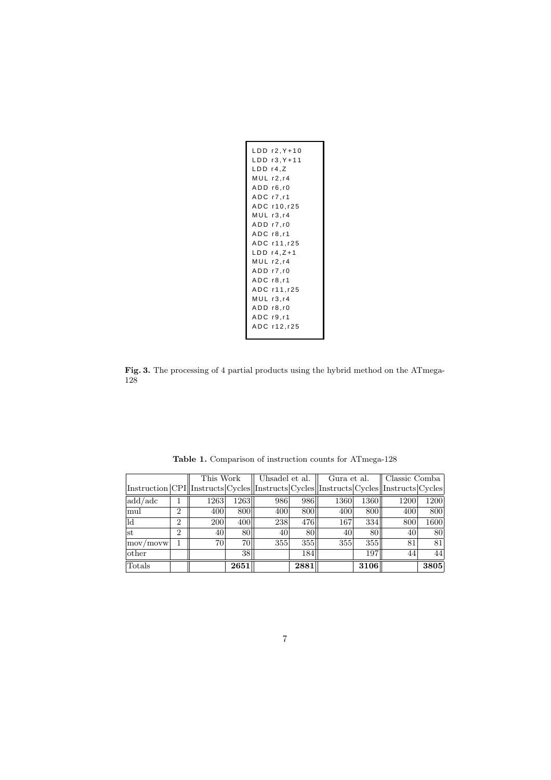| LDD r4,Z | LDD r2,Y+10<br>LDD r3, Y+11<br>MUL r2.r4<br>ADD r6,r0<br>$ADC$ $r7$ , $r1$<br>ADC r10,r25<br>MUL r3.r4<br>ADD r7.r0<br>ADC r8.r1<br>ADC r11, r25<br>$LDD r4, Z+1$<br>$MUL$ r2, r4<br>ADD r7, r0 |
|----------|-------------------------------------------------------------------------------------------------------------------------------------------------------------------------------------------------|
|          |                                                                                                                                                                                                 |
|          |                                                                                                                                                                                                 |
|          | $ADC$ $r8$ , $r1$                                                                                                                                                                               |
|          | ADC r11,r25                                                                                                                                                                                     |
|          | $MUL$ $r3, r4$                                                                                                                                                                                  |
|          | ADD r8.r0                                                                                                                                                                                       |
|          | ADC r9,r1                                                                                                                                                                                       |
|          | ADC r12,r25                                                                                                                                                                                     |

Fig. 3. The processing of 4 partial products using the hybrid method on the ATmega-128

|                                                                                         |                | This Work |      | Uhsadel et al. |      | Gura et al. |      | Classic Comba |      |
|-----------------------------------------------------------------------------------------|----------------|-----------|------|----------------|------|-------------|------|---------------|------|
| Instruction CPI  Instructs Cycles  Instructs Cycles  Instructs Cycles  Instructs Cycles |                |           |      |                |      |             |      |               |      |
| add/adc                                                                                 |                | 1263      | 1263 | 986            | 9861 | 1360        | 1360 | 1200          | 1200 |
| mul                                                                                     | $\overline{2}$ | 400       | 800  | 400            | 800  | 400         | 800  | 400           | 800  |
| ld                                                                                      | $\overline{2}$ | 200       | 400  | 238            | 476  | 167         | 334  | 800           | 1600 |
| st                                                                                      | $\overline{2}$ | 40        | 80   | 40             | 80   | 40          | 80   | 40            | 80   |
| $\lfloor$ mov $\lceil$ movw $\rceil$                                                    |                | 70        | 701  | 355            | 355  | 355         | 355  | 81            | 81   |
| other                                                                                   |                |           | 38   |                | 184  |             | 197  | 44            | 44   |
| Totals                                                                                  |                |           | 2651 |                | 2881 |             | 3106 |               | 3805 |

Table 1. Comparison of instruction counts for ATmega-128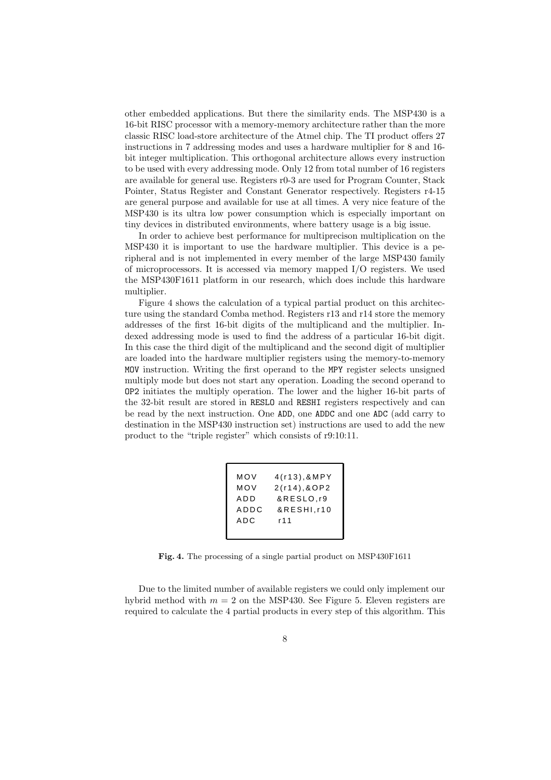other embedded applications. But there the similarity ends. The MSP430 is a 16-bit RISC processor with a memory-memory architecture rather than the more classic RISC load-store architecture of the Atmel chip. The TI product offers 27 instructions in 7 addressing modes and uses a hardware multiplier for 8 and 16 bit integer multiplication. This orthogonal architecture allows every instruction to be used with every addressing mode. Only 12 from total number of 16 registers are available for general use. Registers r0-3 are used for Program Counter, Stack Pointer, Status Register and Constant Generator respectively. Registers r4-15 are general purpose and available for use at all times. A very nice feature of the MSP430 is its ultra low power consumption which is especially important on tiny devices in distributed environments, where battery usage is a big issue.

In order to achieve best performance for multiprecison multiplication on the MSP430 it is important to use the hardware multiplier. This device is a peripheral and is not implemented in every member of the large MSP430 family of microprocessors. It is accessed via memory mapped I/O registers. We used the MSP430F1611 platform in our research, which does include this hardware multiplier.

Figure 4 shows the calculation of a typical partial product on this architecture using the standard Comba method. Registers r13 and r14 store the memory addresses of the first 16-bit digits of the multiplicand and the multiplier. Indexed addressing mode is used to find the address of a particular 16-bit digit. In this case the third digit of the multiplicand and the second digit of multiplier are loaded into the hardware multiplier registers using the memory-to-memory MOV instruction. Writing the first operand to the MPY register selects unsigned multiply mode but does not start any operation. Loading the second operand to OP2 initiates the multiply operation. The lower and the higher 16-bit parts of the 32-bit result are stored in RESLO and RESHI registers respectively and can be read by the next instruction. One ADD, one ADDC and one ADC (add carry to destination in the MSP430 instruction set) instructions are used to add the new product to the "triple register" which consists of r9:10:11.

| MOV  | 4(r13), 8MPY |
|------|--------------|
| MOV  | 2(r14), 80P2 |
| ADD  | &RESLO.r9    |
| ADDC | &RESHI.r10   |
| ADC  | r 11         |
|      |              |
|      |              |

Fig. 4. The processing of a single partial product on MSP430F1611

Due to the limited number of available registers we could only implement our hybrid method with  $m = 2$  on the MSP430. See Figure 5. Eleven registers are required to calculate the 4 partial products in every step of this algorithm. This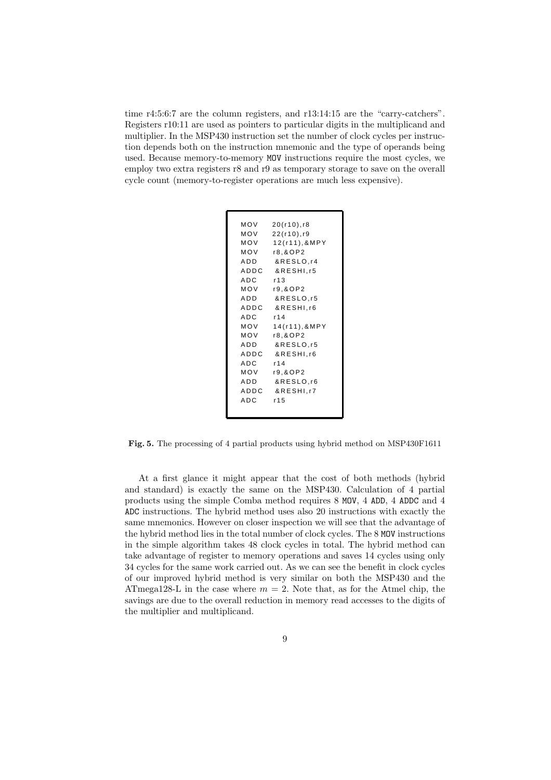time r4:5:6:7 are the column registers, and r13:14:15 are the "carry-catchers". Registers r10:11 are used as pointers to particular digits in the multiplicand and multiplier. In the MSP430 instruction set the number of clock cycles per instruction depends both on the instruction mnemonic and the type of operands being used. Because memory-to-memory MOV instructions require the most cycles, we employ two extra registers r8 and r9 as temporary storage to save on the overall cycle count (memory-to-register operations are much less expensive).

```
MOV 20(r10),r8
MOV 22(r10),r9
MOV 12(r11),&MPY
MOV r8,&OP2
ADD &RESLO,r4
ADDC &RESHI,r5
ADC r13
MOV r9,&OP2
ADD &RESLO,r5
ADDC &RESHI,r6
ADC r14
MOV 14(r11),&MPY
MOV r8,&OP2
ADD &RESLO,r5
ADDC &RESHI,r6
ADC r14
MOV r9,&OP2
ADD &RESLO,r6
ADDC &RESHITZ
ADC r15
```
Fig. 5. The processing of 4 partial products using hybrid method on MSP430F1611

At a first glance it might appear that the cost of both methods (hybrid and standard) is exactly the same on the MSP430. Calculation of 4 partial products using the simple Comba method requires 8 MOV, 4 ADD, 4 ADDC and 4 ADC instructions. The hybrid method uses also 20 instructions with exactly the same mnemonics. However on closer inspection we will see that the advantage of the hybrid method lies in the total number of clock cycles. The 8 MOV instructions in the simple algorithm takes 48 clock cycles in total. The hybrid method can take advantage of register to memory operations and saves 14 cycles using only 34 cycles for the same work carried out. As we can see the benefit in clock cycles of our improved hybrid method is very similar on both the MSP430 and the ATmega128-L in the case where  $m = 2$ . Note that, as for the Atmel chip, the savings are due to the overall reduction in memory read accesses to the digits of the multiplier and multiplicand.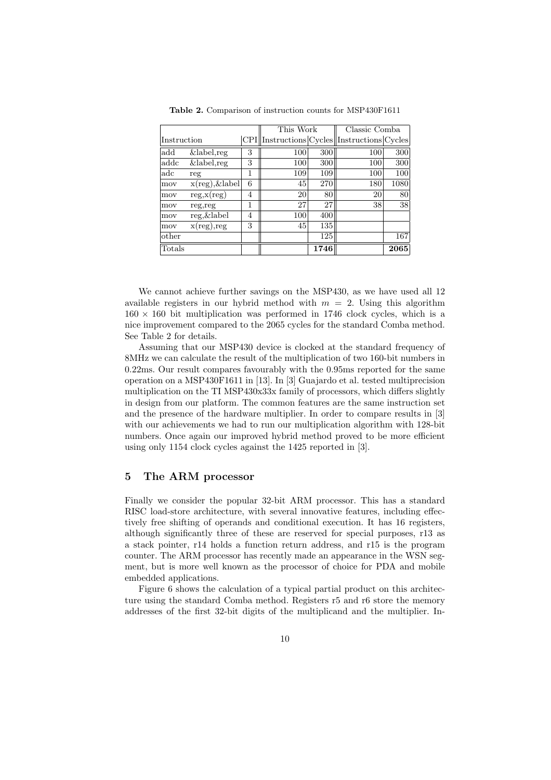|             |                           |   | This Work                                                      |      | Classic Comba |      |
|-------------|---------------------------|---|----------------------------------------------------------------|------|---------------|------|
| Instruction |                           |   | $CPI \sim \text{CPI}$ Instructions $Cycles \sim \text{Cycles}$ |      |               |      |
| add         | $\overline{\&$ label, reg | 3 | 100                                                            | 300  | 100           | 300  |
| addc        | $&$ label, reg            | 3 | 100                                                            | 300  | 100           | 300  |
| adc         | reg                       | 1 | 109                                                            | 109  | 100           | 100  |
| mov         | $x(\text{reg}), \&$ label | 6 | 45                                                             | 270  | 180           | 1080 |
| mov         | reg.x(reg)                | 4 | 20                                                             | 80   | 20            | 80   |
| mov         | reg, reg                  | 1 | 27                                                             | 27   | 38            | 38   |
| mov         | reg, & label              | 4 | 100                                                            | 400  |               |      |
| mov         | $x(\text{reg})$ , reg     | 3 | 45                                                             | 135  |               |      |
| other       |                           |   |                                                                | 125  |               | 167  |
| Totals      |                           |   |                                                                | 1746 |               | 2065 |

Table 2. Comparison of instruction counts for MSP430F1611

We cannot achieve further savings on the MSP430, as we have used all 12 available registers in our hybrid method with  $m = 2$ . Using this algorithm  $160 \times 160$  bit multiplication was performed in 1746 clock cycles, which is a nice improvement compared to the 2065 cycles for the standard Comba method. See Table 2 for details.

Assuming that our MSP430 device is clocked at the standard frequency of 8MHz we can calculate the result of the multiplication of two 160-bit numbers in 0.22ms. Our result compares favourably with the 0.95ms reported for the same operation on a MSP430F1611 in [13]. In [3] Guajardo et al. tested multiprecision multiplication on the TI MSP430x33x family of processors, which differs slightly in design from our platform. The common features are the same instruction set and the presence of the hardware multiplier. In order to compare results in [3] with our achievements we had to run our multiplication algorithm with 128-bit numbers. Once again our improved hybrid method proved to be more efficient using only 1154 clock cycles against the 1425 reported in [3].

#### 5 The ARM processor

Finally we consider the popular 32-bit ARM processor. This has a standard RISC load-store architecture, with several innovative features, including effectively free shifting of operands and conditional execution. It has 16 registers, although significantly three of these are reserved for special purposes, r13 as a stack pointer, r14 holds a function return address, and r15 is the program counter. The ARM processor has recently made an appearance in the WSN segment, but is more well known as the processor of choice for PDA and mobile embedded applications.

Figure 6 shows the calculation of a typical partial product on this architecture using the standard Comba method. Registers r5 and r6 store the memory addresses of the first 32-bit digits of the multiplicand and the multiplier. In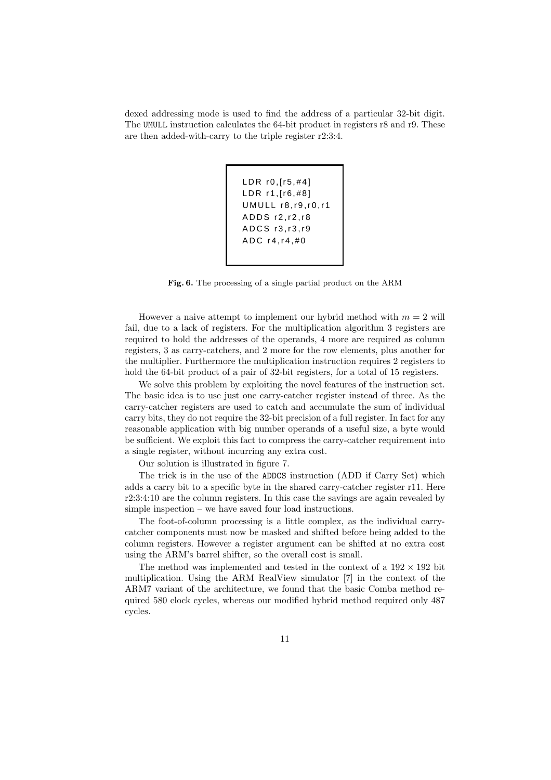dexed addressing mode is used to find the address of a particular 32-bit digit. The UMULL instruction calculates the 64-bit product in registers r8 and r9. These are then added-with-carry to the triple register r2:3:4.

```
LDR r0,[r5,#4]
LDR r1,[r6,#8]
UMULL r8,r9,r0,r1
ADDS r2,r2,r8
ADCS r3,r3,r9
ADC r4,r4,#0
```
Fig. 6. The processing of a single partial product on the ARM

However a naive attempt to implement our hybrid method with  $m = 2$  will fail, due to a lack of registers. For the multiplication algorithm 3 registers are required to hold the addresses of the operands, 4 more are required as column registers, 3 as carry-catchers, and 2 more for the row elements, plus another for the multiplier. Furthermore the multiplication instruction requires 2 registers to hold the 64-bit product of a pair of 32-bit registers, for a total of 15 registers.

We solve this problem by exploiting the novel features of the instruction set. The basic idea is to use just one carry-catcher register instead of three. As the carry-catcher registers are used to catch and accumulate the sum of individual carry bits, they do not require the 32-bit precision of a full register. In fact for any reasonable application with big number operands of a useful size, a byte would be sufficient. We exploit this fact to compress the carry-catcher requirement into a single register, without incurring any extra cost.

Our solution is illustrated in figure 7.

The trick is in the use of the ADDCS instruction (ADD if Carry Set) which adds a carry bit to a specific byte in the shared carry-catcher register r11. Here r2:3:4:10 are the column registers. In this case the savings are again revealed by simple inspection – we have saved four load instructions.

The foot-of-column processing is a little complex, as the individual carrycatcher components must now be masked and shifted before being added to the column registers. However a register argument can be shifted at no extra cost using the ARM's barrel shifter, so the overall cost is small.

The method was implemented and tested in the context of a  $192 \times 192$  bit multiplication. Using the ARM RealView simulator [7] in the context of the ARM7 variant of the architecture, we found that the basic Comba method required 580 clock cycles, whereas our modified hybrid method required only 487 cycles.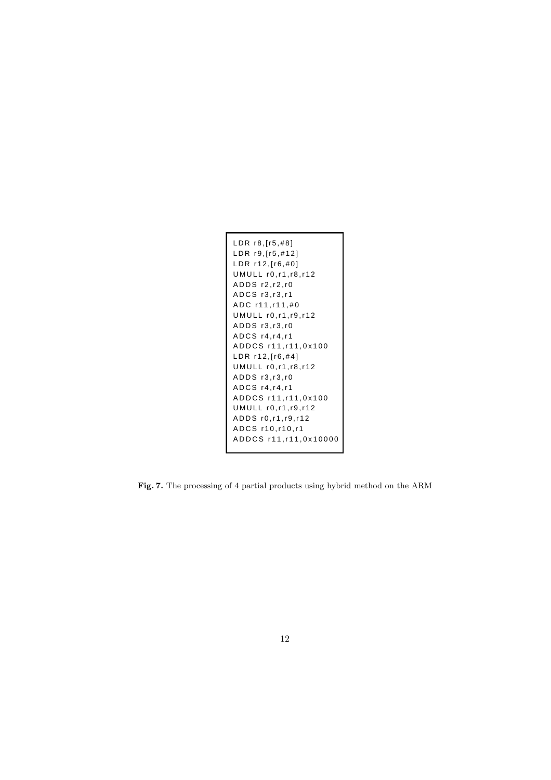```
LDR r8,[r5,#8]
LDR r9,[r5,#12]
LDR r12,[r6,#0]
UMULL r0,r1,r8,r12
ADDS r2,r2,r0
ADCS r3,r3,r1
ADC r11,r11,#0
UMULL r0,r1,r9,r12
ADDS r3,r3,r0
ADCS r4,r4,r1
ADDCS r11,r11,0x100
LDR r12,[r6,#4]
UMULL r0,r1,r8,r12
ADDS r3,r3,r0
ADCS r4,r4,r1
ADDCS r11,r11,0x100
UMULL r0,r1,r9,r12
ADDS r0,r1,r9,r12
ADCS r10,r10,r1
ADDCS r11,r11,0x10000
```
Fig. 7. The processing of 4 partial products using hybrid method on the ARM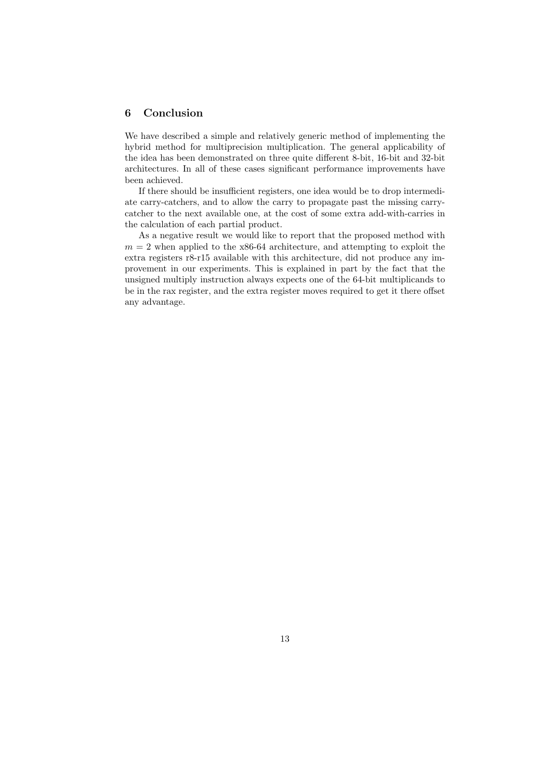# 6 Conclusion

We have described a simple and relatively generic method of implementing the hybrid method for multiprecision multiplication. The general applicability of the idea has been demonstrated on three quite different 8-bit, 16-bit and 32-bit architectures. In all of these cases significant performance improvements have been achieved.

If there should be insufficient registers, one idea would be to drop intermediate carry-catchers, and to allow the carry to propagate past the missing carrycatcher to the next available one, at the cost of some extra add-with-carries in the calculation of each partial product.

As a negative result we would like to report that the proposed method with  $m = 2$  when applied to the x86-64 architecture, and attempting to exploit the extra registers r8-r15 available with this architecture, did not produce any improvement in our experiments. This is explained in part by the fact that the unsigned multiply instruction always expects one of the 64-bit multiplicands to be in the rax register, and the extra register moves required to get it there offset any advantage.